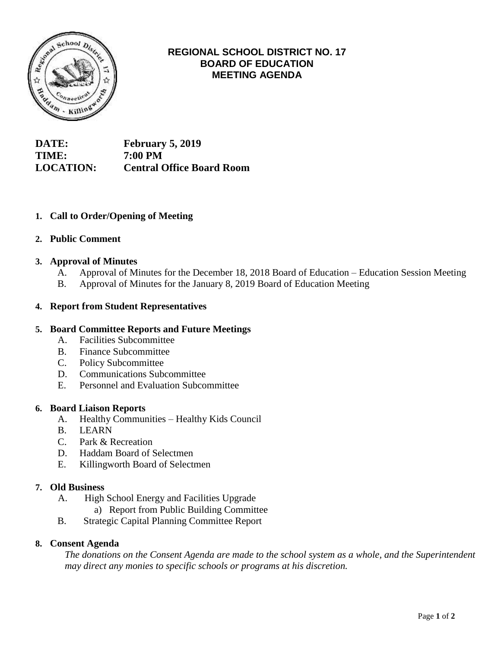

# **REGIONAL SCHOOL DISTRICT NO. 17 BOARD OF EDUCATION MEETING AGENDA**

**DATE: February 5, 2019 TIME: 7:00 PM LOCATION: Central Office Board Room**

## **1. Call to Order/Opening of Meeting**

## **2. Public Comment**

## **3. Approval of Minutes**

- A. Approval of Minutes for the December 18, 2018 Board of Education Education Session Meeting
- B. Approval of Minutes for the January 8, 2019 Board of Education Meeting

## **4. Report from Student Representatives**

## **5. Board Committee Reports and Future Meetings**

- A. Facilities Subcommittee
- B. Finance Subcommittee
- C. Policy Subcommittee
- D. Communications Subcommittee
- E. Personnel and Evaluation Subcommittee

#### **6. Board Liaison Reports**

- A. Healthy Communities Healthy Kids Council
- B. LEARN
- C. Park & Recreation
- D. Haddam Board of Selectmen
- E. Killingworth Board of Selectmen

#### **7. Old Business**

- A. High School Energy and Facilities Upgrade
	- a) Report from Public Building Committee
- B. Strategic Capital Planning Committee Report

#### **8. Consent Agenda**

*The donations on the Consent Agenda are made to the school system as a whole, and the Superintendent may direct any monies to specific schools or programs at his discretion.*